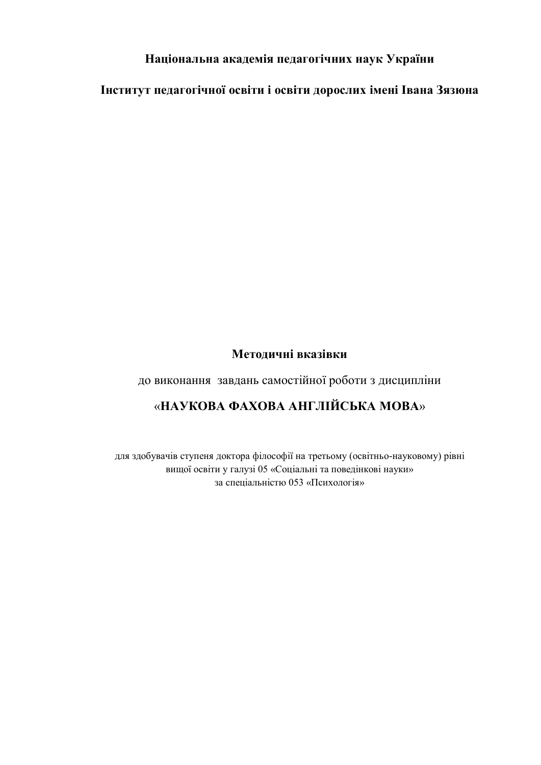### **Національна академія педагогічних наук України**

**Інститут педагогічної освіти і освіти дорослих імені Івана Зязюна**

### **Методичні вказівки**

до виконання завдань самостійної роботи з дисципліни

# «**НАУКОВА ФАХОВА АНГЛІЙСЬКА МОВА**»

для здобувачів ступеня доктора філософії на третьому (освітньо-науковому) рівні вищої освіти у галузі 05 «Соціальні та поведінкові науки» за спеціальністю 053 «Психологія»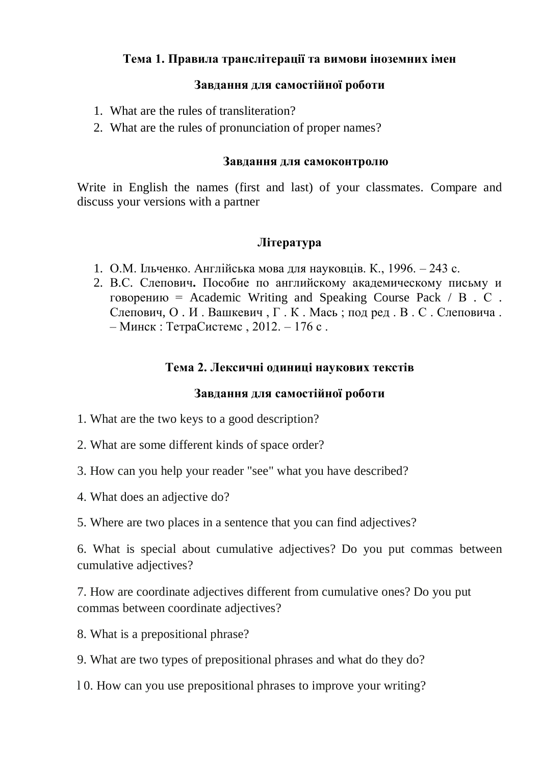# **Тема 1. Правила транслітерації та вимови іноземних імен**

### **Завдання для самостійної роботи**

- 1. What are the rules of transliteration?
- 2. What are the rules of pronunciation of proper names?

#### **Завдання для самоконтролю**

Write in English the names (first and last) of your classmates. Compare and discuss your versions with a partner

### **Література**

- 1. О.М. Ільченко. Англійська мова для науковців. К., 1996. 243 с.
- 2. В.С. Слепович**.** Пособие по английскому академическому письму и говорению = Academic Writing and Speaking Course Pack  $/B$ . С. Слепович, О . И . Вашкевич , Г . К . Мась ; под ред . В . С . Слеповича . – Минск : ТетраСистемс , 2012. – 176 с .

# **Тема 2. Лексичні одиниці наукових текстів**

### **Завдання для самостійної роботи**

- 1. What are the two keys to a good description?
- 2. What are some different kinds of space order?
- 3. How can you help your reader "see" what you have described?
- 4. What does an adjective do?
- 5. Where are two places in a sentence that you can find adjectives?

6. What is special about cumulative adjectives? Do you put commas between cumulative adjectives?

7. How are coordinate adjectives different from cumulative ones? Do you put commas between coordinate adjectives?

8. What is a prepositional phrase?

9. What are two types of prepositional phrases and what do they do?

l 0. How can you use prepositional phrases to improve your writing?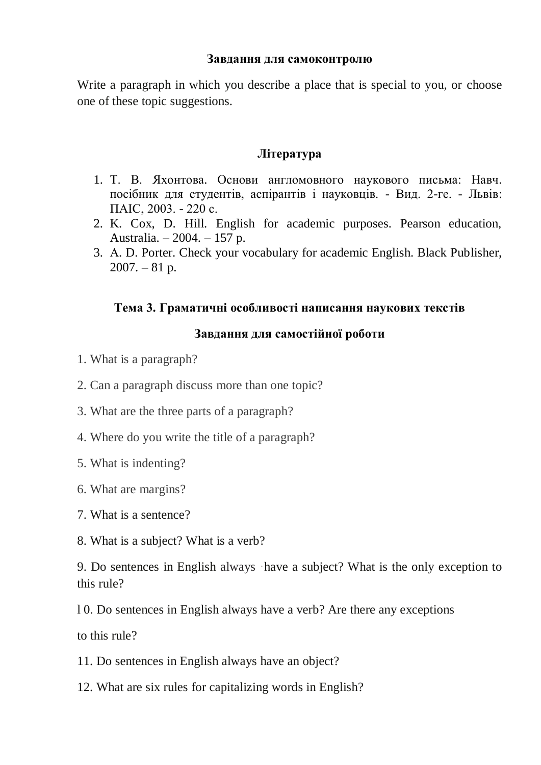Write a paragraph in which you describe a place that is special to you, or choose one of these topic suggestions.

### **Література**

- 1. Т. В. Яхонтова. Основи англомовного наукового письма: Навч. посібник для студентів, аспірантів і науковців. - Вид. 2-ге. - Львів: ПАІС, 2003. - 220 с.
- 2. K. Cox, D. Hill. English for academic purposes. Pearson education, Australia. – 2004. – 157 p.
- 3. А. D. Porter. Check your vocabulary for academic English. Black Publisher,  $2007. - 81$  p.

### **Тема 3. Граматичні особливості написання наукових текстів**

### **Завдання для самостійної роботи**

- 1. What is a paragraph?
- 2. Can a paragraph discuss more than one topic?
- 3. What are the three parts of a paragraph?
- 4. Where do you write the title of a paragraph?
- 5. What is indenting?
- 6. What are margins?
- 7. What is a sentence?
- 8. What is a subject? What is a verb?

9. Do sentences in English always ·have a subject? What is the only exception to this rule?

l 0. Do sentences in English always have a verb? Are there any exceptions

to this rule?

11. Do sentences in English always have an object?

12. What are six rules for capitalizing words in English?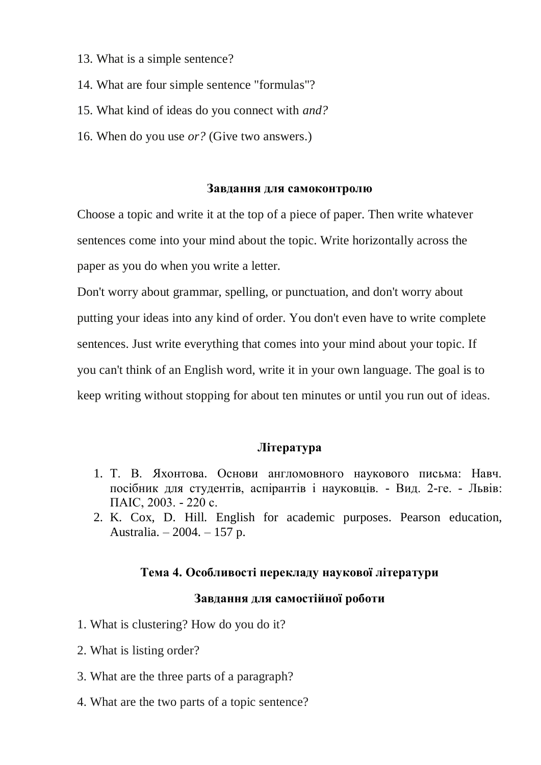- 13. What is a simple sentence?
- 14. What are four simple sentence "formulas"?
- 15. What kind of ideas do you connect with *and?*
- 16. When do you use *or?* (Give two answers.)

Choose a topic and write it at the top of a piece of paper. Then write whatever sentences come into your mind about the topic. Write horizontally across the paper as you do when you write a letter.

Don't worry about grammar, spelling, or punctuation, and don't worry about putting your ideas into any kind of order. You don't even have to write complete sentences. Just write everything that comes into your mind about your topic. If you can't think of an English word, write it in your own language. The goal is to keep writing without stopping for about ten minutes or until you run out of ideas.

#### **Література**

- 1. Т. В. Яхонтова. Основи англомовного наукового письма: Навч. посібник для студентів, аспірантів і науковців. - Вид. 2-ге. - Львів: ПАІС, 2003. - 220 с.
- 2. K. Cox, D. Hill. English for academic purposes. Pearson education, Australia. – 2004. – 157 p.

#### **Тема 4. Особливості перекладу наукової літератури**

#### **Завдання для самостійної роботи**

- 1. What is clustering? How do you do it?
- 2. What is listing order?
- 3. What are the three parts of a paragraph?
- 4. What are the two parts of a topic sentence?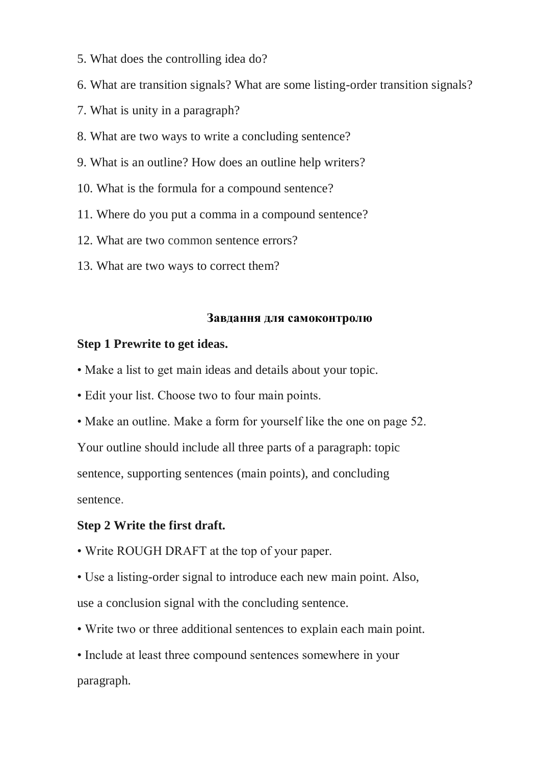- 5. What does the controlling idea do?
- 6. What are transition signals? What are some listing-order transition signals?
- 7. What is unity in a paragraph?
- 8. What are two ways to write a concluding sentence?
- 9. What is an outline? How does an outline help writers?
- 10. What is the formula for a compound sentence?
- 11. Where do you put a comma in a compound sentence?
- 12. What are two common sentence errors?
- 13. What are two ways to correct them?

#### **Step 1 Prewrite to get ideas.**

- Make a list to get main ideas and details about your topic.
- Edit your list. Choose two to four main points.
- Make an outline. Make a form for yourself like the one on page 52.

Your outline should include all three parts of a paragraph: topic

sentence, supporting sentences (main points), and concluding

sentence.

#### **Step 2 Write the first draft.**

- Write ROUGH DRAFT at the top of your paper.
- Use a listing-order signal to introduce each new main point. Also, use a conclusion signal with the concluding sentence.
- Write two or three additional sentences to explain each main point.
- Include at least three compound sentences somewhere in your paragraph.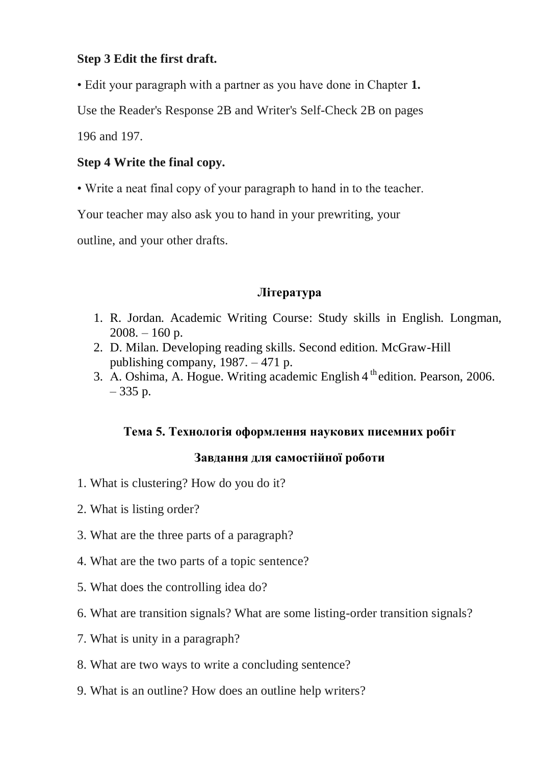# **Step 3 Edit the first draft.**

• Edit your paragraph with a partner as you have done in Chapter **1.**

Use the Reader's Response 2B and Writer's Self-Check 2B on pages

196 and 197.

# **Step 4 Write the final copy.**

• Write a neat final copy of your paragraph to hand in to the teacher.

Your teacher may also ask you to hand in your prewriting, your

outline, and your other drafts.

# **Література**

- 1. R. Jordan. Academic Writing Course: Study skills in English. Longman,  $2008. - 160$  p.
- 2. D. Milan. Developing reading skills. Second edition. McGraw-Hill publishing company, 1987. – 471 p.
- 3. A. Oshima, A. Hogue. Writing academic English 4<sup>th</sup> edition. Pearson, 2006.  $-335$  p.

# **Тема 5. Технологія оформлення наукових писемних робіт**

# **Завдання для самостійної роботи**

- 1. What is clustering? How do you do it?
- 2. What is listing order?
- 3. What are the three parts of a paragraph?
- 4. What are the two parts of a topic sentence?
- 5. What does the controlling idea do?
- 6. What are transition signals? What are some listing-order transition signals?
- 7. What is unity in a paragraph?
- 8. What are two ways to write a concluding sentence?
- 9. What is an outline? How does an outline help writers?